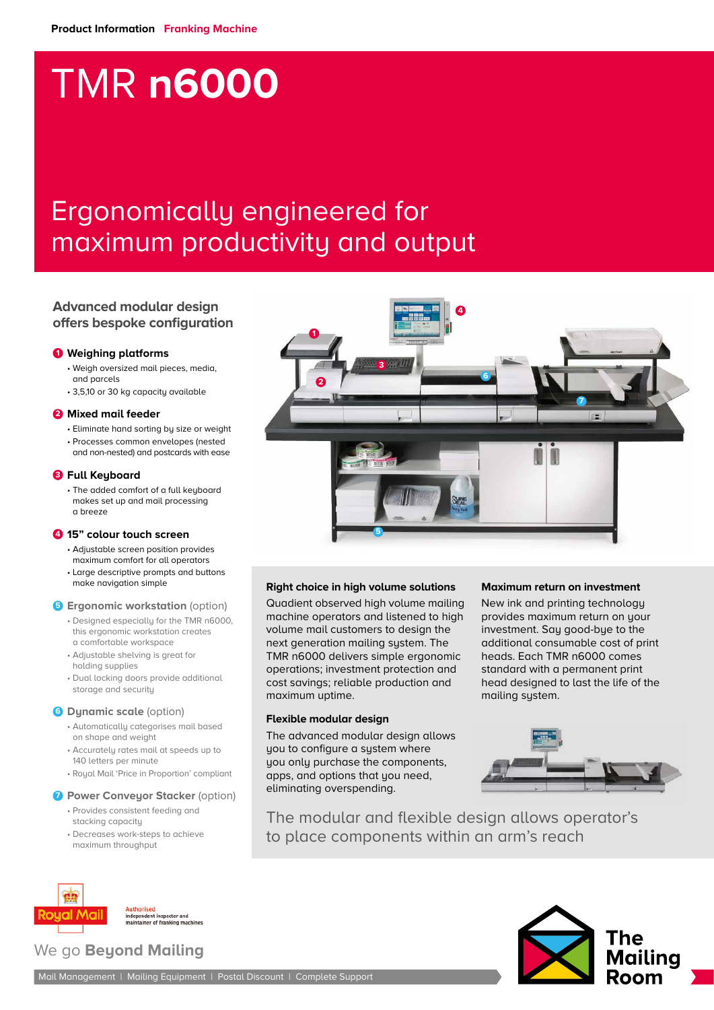# TMR **n6000**

# Ergonomically engineered for maximum productivity and output

# **Advanced modular design offers bespoke configuration**

# **1 Weighing platforms**

- Weigh oversized mail pieces, media, and parcels
- 3,5,10 or 30 kg capacity available

# **2 Mixed mail feeder**

- Eliminate hand sorting by size or weight • Processes common envelopes (nested
- and non-nested) and postcards with ease

# **3 Full Keyboard**

• The added comfort of a full keyboard makes set up and mail processing a breeze

# **4 15" colour touch screen**

- Adjustable screen position provides maximum comfort for all operators
- Large descriptive prompts and buttons make navigation simple

# **6 Ergonomic workstation** (option)

- Designed especially for the TMR n6000, this ergonomic workstation creates a comfortable workspace
- Adjustable shelving is great for holding supplies
- Dual locking doors provide additional storage and security

# **6 Dynamic scale** (option)

- Automatically categorises mail based on shape and weight
- Accurately rates mail at speeds up to
- 140 letters per minute
- Royal Mail 'Price in Proportion' compliant

# *D* Power Conveyor Stacker (option)

- Provides consistent feeding and stacking capacity
- Decreases work-steps to achieve maximum throughput



# **Right choice in high volume solutions**

Quadient observed high volume mailing machine operators and listened to high volume mail customers to design the next generation mailing system. The TMR n6000 delivers simple ergonomic operations; investment protection and cost savings; reliable production and maximum uptime.

# **Flexible modular design**

The advanced modular design allows you to configure a system where you only purchase the components, apps, and options that you need, eliminating overspending.

# **Maximum return on investment**

New ink and printing technology provides maximum return on your investment. Say good-bye to the additional consumable cost of print heads. Each TMR n6000 comes standard with a permanent print head designed to last the life of the mailing system.



The modular and flexible design allows operator's to place components within an arm's reach



Authorised<br>independent inspector and<br>maintainer of franking machines

# We go **Beyond Mailing**